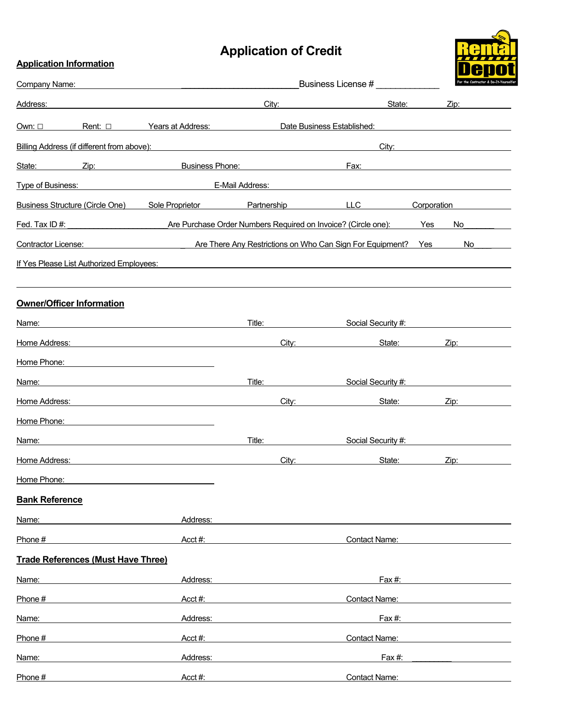## **Application of Credit**

**Application Information**



| Company Name:                              |                                                                                                                      | Business License #                                                                                                    |                            | <u>DU UU</u><br>For the Contractor & Do-It-Yourself |
|--------------------------------------------|----------------------------------------------------------------------------------------------------------------------|-----------------------------------------------------------------------------------------------------------------------|----------------------------|-----------------------------------------------------|
| Address:                                   |                                                                                                                      | City:                                                                                                                 | State:                     | Zip:                                                |
| Own: $\square$<br>Rent: $\square$          | Years at Address:                                                                                                    |                                                                                                                       | Date Business Established: |                                                     |
| Billing Address (if different from above): |                                                                                                                      | <u> 1989 - Johann Harry Harry Harry Harry Harry Harry Harry Harry Harry Harry Harry Harry Harry Harry Harry Harry</u> | City:                      |                                                     |
| State:                                     | <b>Example 21 Service 21 Service 21 Service 21 Service 21 Service 21 Service 21 Service 21 Service 21 Service 21</b> |                                                                                                                       | Fax:                       |                                                     |
| Type of Business:                          |                                                                                                                      | E-Mail Address:                                                                                                       |                            |                                                     |
| Business Structure (Circle One)            | Sole Proprietor                                                                                                      | Partnership                                                                                                           | LLC                        | Corporation                                         |
| Fed. Tax ID#:                              | Are Purchase Order Numbers Required on Invoice? (Circle one):                                                        |                                                                                                                       |                            | Yes<br>No.                                          |
| Contractor License:                        | <b>Example 2 Are There Any Restrictions on Who Can Sign For Equipment?</b> Yes                                       |                                                                                                                       |                            | No                                                  |
| If Yes Please List Authorized Employees:   |                                                                                                                      |                                                                                                                       |                            |                                                     |
| <b>Owner/Officer Information</b>           |                                                                                                                      |                                                                                                                       |                            |                                                     |
| Name:                                      |                                                                                                                      | Title:                                                                                                                | Social Security #:         |                                                     |
| Home Address:                              |                                                                                                                      | City:                                                                                                                 | State:                     | Zip:                                                |
| Home Phone:                                |                                                                                                                      |                                                                                                                       |                            |                                                     |
| Name:                                      |                                                                                                                      | Title:                                                                                                                | Social Security #:         |                                                     |
| Home Address:                              |                                                                                                                      | City:                                                                                                                 | State:                     | Zip:                                                |
| Home Phone:                                |                                                                                                                      |                                                                                                                       |                            |                                                     |
| Name:                                      |                                                                                                                      | Title:                                                                                                                | Social Security #:         |                                                     |
| Home Address:                              |                                                                                                                      | City:                                                                                                                 | State:                     | Zip:                                                |
| Home Phone:                                |                                                                                                                      |                                                                                                                       |                            |                                                     |
| <b>Bank Reference</b>                      |                                                                                                                      |                                                                                                                       |                            |                                                     |
| Name:                                      | Address:                                                                                                             |                                                                                                                       |                            |                                                     |
| Phone #                                    | Acct#:                                                                                                               |                                                                                                                       | <b>Contact Name:</b>       |                                                     |
| <b>Trade References (Must Have Three)</b>  |                                                                                                                      |                                                                                                                       |                            |                                                     |
| Name:                                      | Address:                                                                                                             |                                                                                                                       | Fax #:                     |                                                     |
| Phone #                                    | Acct#:                                                                                                               |                                                                                                                       | <b>Contact Name:</b>       |                                                     |
| Name:                                      | Address:                                                                                                             |                                                                                                                       | Fax #:                     |                                                     |
| Phone #                                    | Acct#:                                                                                                               |                                                                                                                       | <b>Contact Name:</b>       |                                                     |
| Name:                                      | Address:                                                                                                             |                                                                                                                       | Fax#:                      |                                                     |
| Phone #                                    | Acct#:                                                                                                               |                                                                                                                       | <b>Contact Name:</b>       |                                                     |